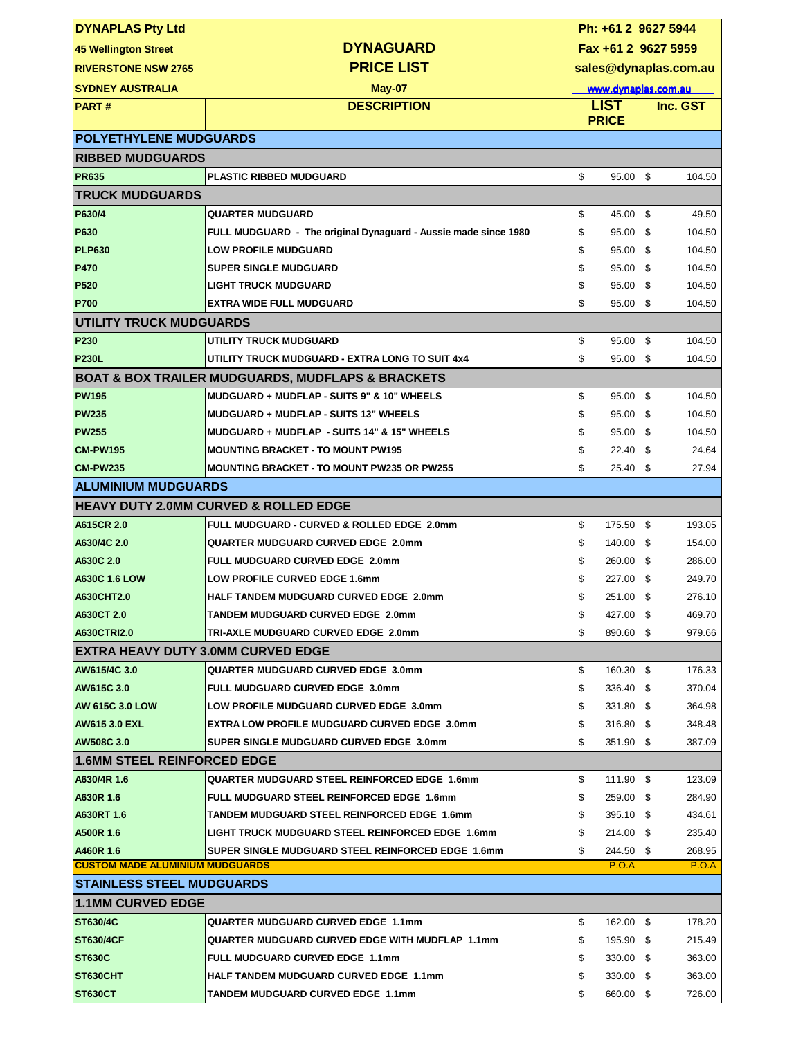| <b>DYNAPLAS Pty Ltd</b>                   |                                                                  |    | Ph: +61 2 9627 5944     |    |        |  |
|-------------------------------------------|------------------------------------------------------------------|----|-------------------------|----|--------|--|
| 45 Wellington Street                      | <b>DYNAGUARD</b>                                                 |    | Fax +61 2 9627 5959     |    |        |  |
| <b>RIVERSTONE NSW 2765</b>                | <b>PRICE LIST</b>                                                |    | sales@dynaplas.com.au   |    |        |  |
| <b>SYDNEY AUSTRALIA</b>                   | May-07                                                           |    | www.dynaplas.com.au     |    |        |  |
| <b>PART#</b>                              | <b>DESCRIPTION</b>                                               |    | <b>LIST</b><br>Inc. GST |    |        |  |
|                                           |                                                                  |    | <b>PRICE</b>            |    |        |  |
| <b>POLYETHYLENE MUDGUARDS</b>             |                                                                  |    |                         |    |        |  |
| <b>RIBBED MUDGUARDS</b>                   |                                                                  |    |                         |    |        |  |
| <b>PR635</b>                              | <b>PLASTIC RIBBED MUDGUARD</b>                                   | \$ | 95.00                   | \$ | 104.50 |  |
| <b>TRUCK MUDGUARDS</b>                    |                                                                  |    |                         |    |        |  |
| P630/4                                    | QUARTER MUDGUARD                                                 | \$ | 45.00                   | \$ | 49.50  |  |
| <b>P630</b>                               | FULL MUDGUARD - The original Dynaguard - Aussie made since 1980  | \$ | 95.00                   | \$ | 104.50 |  |
| <b>PLP630</b>                             | <b>LOW PROFILE MUDGUARD</b>                                      | \$ | 95.00                   | \$ | 104.50 |  |
| <b>P470</b>                               | <b>SUPER SINGLE MUDGUARD</b>                                     | \$ | 95.00                   | \$ | 104.50 |  |
| <b>P520</b>                               | <b>LIGHT TRUCK MUDGUARD</b>                                      | \$ | 95.00                   | \$ | 104.50 |  |
| <b>P700</b>                               | <b>EXTRA WIDE FULL MUDGUARD</b>                                  | \$ | 95.00                   | \$ | 104.50 |  |
| <b>UTILITY TRUCK MUDGUARDS</b>            |                                                                  |    |                         |    |        |  |
| P230                                      | UTILITY TRUCK MUDGUARD                                           | \$ | 95.00                   | \$ | 104.50 |  |
| <b>P230L</b>                              | UTILITY TRUCK MUDGUARD - EXTRA LONG TO SUIT 4x4                  | \$ | 95.00                   | \$ | 104.50 |  |
|                                           | <b>BOAT &amp; BOX TRAILER MUDGUARDS, MUDFLAPS &amp; BRACKETS</b> |    |                         |    |        |  |
| <b>PW195</b>                              | MUDGUARD + MUDFLAP - SUITS 9" & 10" WHEELS                       | \$ | 95.00                   | \$ | 104.50 |  |
| <b>PW235</b>                              | MUDGUARD + MUDFLAP - SUITS 13" WHEELS                            | \$ | 95.00                   | \$ | 104.50 |  |
| <b>PW255</b>                              | MUDGUARD + MUDFLAP - SUITS 14" & 15" WHEELS                      | \$ | 95.00                   | \$ | 104.50 |  |
| <b>CM-PW195</b>                           | <b>MOUNTING BRACKET - TO MOUNT PW195</b>                         | \$ | 22.40                   | \$ | 24.64  |  |
| <b>CM-PW235</b>                           | <b>MOUNTING BRACKET - TO MOUNT PW235 OR PW255</b>                | \$ | 25.40                   | \$ | 27.94  |  |
| <b>ALUMINIUM MUDGUARDS</b>                |                                                                  |    |                         |    |        |  |
|                                           | <b>HEAVY DUTY 2.0MM CURVED &amp; ROLLED EDGE</b>                 |    |                         |    |        |  |
| A615CR 2.0                                | FULL MUDGUARD - CURVED & ROLLED EDGE 2.0mm                       | \$ | 175.50                  | \$ | 193.05 |  |
| A630/4C 2.0                               | <b>QUARTER MUDGUARD CURVED EDGE 2.0mm</b>                        | \$ | 140.00                  | \$ | 154.00 |  |
| A630C 2.0                                 | FULL MUDGUARD CURVED EDGE 2.0mm                                  | \$ | 260.00                  | \$ | 286.00 |  |
| <b>A630C 1.6 LOW</b>                      | <b>LOW PROFILE CURVED EDGE 1.6mm</b>                             | \$ | 227.00                  | \$ | 249.70 |  |
| A630CHT2.0                                | <b>HALF TANDEM MUDGUARD CURVED EDGE 2.0mm</b>                    | \$ | 251.00                  | \$ | 276.10 |  |
| A630CT 2.0                                | TANDEM MUDGUARD CURVED EDGE 2.0mm                                | \$ | 427.00 \\$              |    | 469.70 |  |
| <b>A630CTRI2.0</b>                        | TRI-AXLE MUDGUARD CURVED EDGE 2.0mm                              | \$ | 890.60                  | \$ | 979.66 |  |
| <b>EXTRA HEAVY DUTY 3.0MM CURVED EDGE</b> |                                                                  |    |                         |    |        |  |
| AW615/4C 3.0                              | QUARTER MUDGUARD CURVED EDGE 3.0mm                               | \$ | 160.30                  | \$ | 176.33 |  |
| <b>AW615C 3.0</b>                         | FULL MUDGUARD CURVED EDGE 3.0mm                                  | \$ | 336.40                  | \$ | 370.04 |  |
| <b>AW 615C 3.0 LOW</b>                    | LOW PROFILE MUDGUARD CURVED EDGE 3.0mm                           | \$ | 331.80                  | \$ | 364.98 |  |
| AW615 3.0 EXL                             | <b>EXTRA LOW PROFILE MUDGUARD CURVED EDGE 3.0mm</b>              | \$ | 316.80                  | \$ | 348.48 |  |
| <b>AW508C 3.0</b>                         | SUPER SINGLE MUDGUARD CURVED EDGE 3.0mm                          | \$ | 351.90                  | \$ | 387.09 |  |
| <b>1.6MM STEEL REINFORCED EDGE</b>        |                                                                  |    |                         |    |        |  |
| A630/4R 1.6                               | QUARTER MUDGUARD STEEL REINFORCED EDGE 1.6mm                     | \$ | 111.90                  | \$ | 123.09 |  |
| A630R 1.6                                 | FULL MUDGUARD STEEL REINFORCED EDGE 1.6mm                        | \$ | 259.00                  | \$ | 284.90 |  |
| <b>A630RT 1.6</b>                         | TANDEM MUDGUARD STEEL REINFORCED EDGE 1.6mm                      | \$ | 395.10                  | \$ | 434.61 |  |
| <b>A500R 1.6</b>                          | LIGHT TRUCK MUDGUARD STEEL REINFORCED EDGE 1.6mm                 | \$ | 214.00                  | \$ | 235.40 |  |
| A460R 1.6                                 | SUPER SINGLE MUDGUARD STEEL REINFORCED EDGE 1.6mm                | \$ | 244.50                  | \$ | 268.95 |  |
| <b>CUSTOM MADE ALUMINIUM MUDGUARDS</b>    |                                                                  |    | P.O.A                   |    | P.O.A  |  |
| <b>ISTAINLESS STEEL MUDGUARDS</b>         |                                                                  |    |                         |    |        |  |
| <b>1.1MM CURVED EDGE</b>                  |                                                                  |    |                         |    |        |  |
| <b>ST630/4C</b>                           | <b>QUARTER MUDGUARD CURVED EDGE 1.1mm</b>                        | \$ | 162.00                  | \$ | 178.20 |  |
| ST630/4CF                                 | QUARTER MUDGUARD CURVED EDGE WITH MUDFLAP_1.1mm                  | \$ | 195.90                  | \$ | 215.49 |  |
| <b>ST630C</b>                             | FULL MUDGUARD CURVED EDGE 1.1mm                                  | \$ | 330.00                  | \$ | 363.00 |  |
| <b>ST630CHT</b>                           | <b>HALF TANDEM MUDGUARD CURVED EDGE 1.1mm</b>                    | \$ | 330.00                  | \$ | 363.00 |  |
| <b>ST630CT</b>                            | TANDEM MUDGUARD CURVED EDGE 1.1mm                                | \$ | 660.00                  | \$ | 726.00 |  |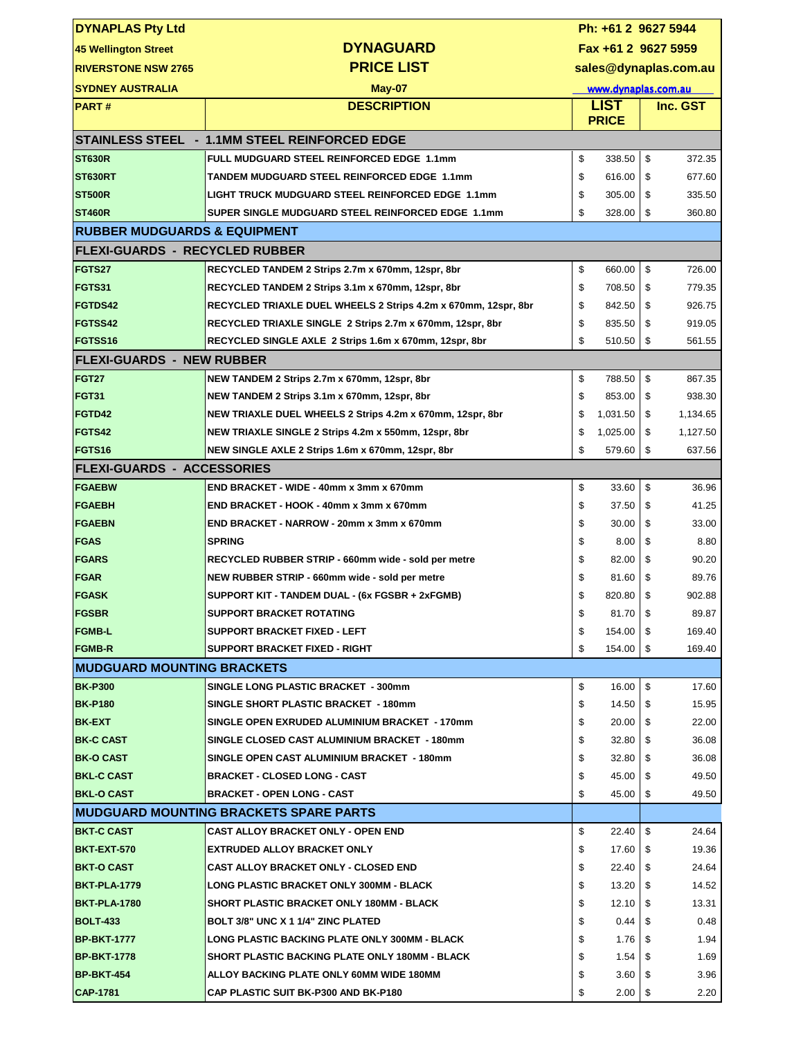| <b>DYNAPLAS Pty Ltd</b>                 |                                                                | Ph: +61 2 9627 5944   |          |    |          |  |
|-----------------------------------------|----------------------------------------------------------------|-----------------------|----------|----|----------|--|
| <b>45 Wellington Street</b>             | <b>DYNAGUARD</b>                                               | Fax +61 2 9627 5959   |          |    |          |  |
| <b>RIVERSTONE NSW 2765</b>              | <b>PRICE LIST</b>                                              | sales@dynaplas.com.au |          |    |          |  |
| <b>SYDNEY AUSTRALIA</b>                 | <b>May-07</b>                                                  | www.dynaplas.com.au   |          |    |          |  |
| <b>PART#</b>                            | <b>DESCRIPTION</b>                                             | <b>LIST</b>           |          |    | Inc. GST |  |
|                                         |                                                                | <b>PRICE</b>          |          |    |          |  |
|                                         | STAINLESS STEEL - 1.1MM STEEL REINFORCED EDGE                  |                       |          |    |          |  |
| <b>ST630R</b>                           | FULL MUDGUARD STEEL REINFORCED EDGE 1.1mm                      | \$                    | 338.50   | \$ | 372.35   |  |
| <b>ST630RT</b>                          | TANDEM MUDGUARD STEEL REINFORCED EDGE 1.1mm                    | \$                    | 616.00   | \$ | 677.60   |  |
| <b>ST500R</b>                           | LIGHT TRUCK MUDGUARD STEEL REINFORCED EDGE 1.1mm               | \$                    | 305.00   | \$ | 335.50   |  |
| <b>ST460R</b>                           | SUPER SINGLE MUDGUARD STEEL REINFORCED EDGE 1.1mm              | \$                    | 328.00   | \$ | 360.80   |  |
| <b>RUBBER MUDGUARDS &amp; EQUIPMENT</b> |                                                                |                       |          |    |          |  |
| <b>FLEXI-GUARDS - RECYCLED RUBBER</b>   |                                                                |                       |          |    |          |  |
| FGTS27                                  | RECYCLED TANDEM 2 Strips 2.7m x 670mm, 12spr, 8br              | \$                    | 660.00   | \$ | 726.00   |  |
| FGTS31                                  | RECYCLED TANDEM 2 Strips 3.1m x 670mm, 12spr, 8br              | \$                    | 708.50   | \$ | 779.35   |  |
| FGTDS42                                 | RECYCLED TRIAXLE DUEL WHEELS 2 Strips 4.2m x 670mm, 12spr, 8br | \$                    | 842.50   | \$ | 926.75   |  |
| FGTSS42                                 | RECYCLED TRIAXLE SINGLE 2 Strips 2.7m x 670mm, 12spr, 8br      | \$                    | 835.50   | \$ | 919.05   |  |
| FGTSS16                                 | RECYCLED SINGLE AXLE 2 Strips 1.6m x 670mm, 12spr, 8br         | \$                    | 510.50   | \$ | 561.55   |  |
| <b>FLEXI-GUARDS - NEW RUBBER</b>        |                                                                |                       |          |    |          |  |
| <b>FGT27</b>                            | NEW TANDEM 2 Strips 2.7m x 670mm, 12spr, 8br                   | \$                    | 788.50   | \$ | 867.35   |  |
| <b>FGT31</b>                            | NEW TANDEM 2 Strips 3.1m x 670mm, 12spr, 8br                   | \$                    | 853.00   | \$ | 938.30   |  |
| FGTD42                                  | NEW TRIAXLE DUEL WHEELS 2 Strips 4.2m x 670mm, 12spr, 8br      | \$                    | 1,031.50 | \$ | 1,134.65 |  |
| FGTS42                                  | NEW TRIAXLE SINGLE 2 Strips 4.2m x 550mm, 12spr, 8br           | \$                    | 1,025.00 | \$ | 1,127.50 |  |
| <b>FGTS16</b>                           | NEW SINGLE AXLE 2 Strips 1.6m x 670mm, 12spr, 8br              | \$                    | 579.60   | \$ | 637.56   |  |
| <b>FLEXI-GUARDS - ACCESSORIES</b>       |                                                                |                       |          |    |          |  |
| <b>FGAEBW</b>                           | END BRACKET - WIDE - 40mm x 3mm x 670mm                        | \$                    | 33.60    | \$ | 36.96    |  |
| <b>FGAEBH</b>                           | END BRACKET - HOOK - 40mm x 3mm x 670mm                        | \$                    | 37.50    | \$ | 41.25    |  |
| <b>FGAEBN</b>                           | END BRACKET - NARROW - 20mm x 3mm x 670mm                      | \$                    | 30.00    | \$ | 33.00    |  |
| <b>FGAS</b>                             | <b>SPRING</b>                                                  | \$                    | 8.00     | \$ | 8.80     |  |
| <b>FGARS</b>                            | RECYCLED RUBBER STRIP - 660mm wide - sold per metre            | \$                    | 82.00    | \$ | 90.20    |  |
| <b>FGAR</b>                             | NEW RUBBER STRIP - 660mm wide - sold per metre                 | \$                    | 81.60    | \$ | 89.76    |  |
| <b>FGASK</b>                            | SUPPORT KIT - TANDEM DUAL - (6x FGSBR + 2xFGMB)                | \$                    | 820.80   | \$ | 902.88   |  |
| <b>FGSBR</b>                            | <b>SUPPORT BRACKET ROTATING</b>                                | \$                    | 81.70    | \$ | 89.87    |  |
| <b>FGMB-L</b>                           | <b>SUPPORT BRACKET FIXED - LEFT</b>                            | \$                    | 154.00   | \$ | 169.40   |  |
| <b>FGMB-R</b>                           | <b>SUPPORT BRACKET FIXED - RIGHT</b>                           | \$                    | 154.00   | \$ | 169.40   |  |
| <b>IMUDGUARD MOUNTING BRACKETS</b>      |                                                                |                       |          |    |          |  |
| <b>BK-P300</b>                          | SINGLE LONG PLASTIC BRACKET - 300mm                            | \$                    | 16.00    | \$ | 17.60    |  |
| <b>BK-P180</b>                          | SINGLE SHORT PLASTIC BRACKET - 180mm                           | \$                    | 14.50    | \$ | 15.95    |  |
| <b>BK-EXT</b>                           | SINGLE OPEN EXRUDED ALUMINIUM BRACKET - 170mm                  | \$                    | 20.00    | \$ | 22.00    |  |
| <b>BK-C CAST</b>                        | SINGLE CLOSED CAST ALUMINIUM BRACKET - 180mm                   | \$                    | 32.80    | \$ | 36.08    |  |
| <b>BK-O CAST</b>                        | SINGLE OPEN CAST ALUMINIUM BRACKET - 180mm                     | \$                    | 32.80    | \$ | 36.08    |  |
| <b>BKL-C CAST</b>                       | <b>BRACKET - CLOSED LONG - CAST</b>                            | \$                    | 45.00    | \$ | 49.50    |  |
| <b>BKL-O CAST</b>                       | <b>BRACKET - OPEN LONG - CAST</b>                              | \$                    | 45.00    | \$ | 49.50    |  |
|                                         | <b>MUDGUARD MOUNTING BRACKETS SPARE PARTS</b>                  |                       |          |    |          |  |
| <b>BKT-C CAST</b>                       | CAST ALLOY BRACKET ONLY - OPEN END                             | \$                    | 22.40    | \$ | 24.64    |  |
| <b>BKT-EXT-570</b>                      | EXTRUDED ALLOY BRACKET ONLY                                    | \$                    | 17.60    | \$ | 19.36    |  |
| <b>BKT-O CAST</b>                       | <b>CAST ALLOY BRACKET ONLY - CLOSED END</b>                    | \$                    | 22.40    | \$ | 24.64    |  |
| <b>BKT-PLA-1779</b>                     | LONG PLASTIC BRACKET ONLY 300MM - BLACK                        | \$                    | 13.20    | \$ | 14.52    |  |
| <b>BKT-PLA-1780</b>                     | <b>SHORT PLASTIC BRACKET ONLY 180MM - BLACK</b>                | \$                    | 12.10    | \$ | 13.31    |  |
| <b>BOLT-433</b>                         | BOLT 3/8" UNC X 1 1/4" ZINC PLATED                             | \$                    | 0.44     | S  | 0.48     |  |
| <b>BP-BKT-1777</b>                      | LONG PLASTIC BACKING PLATE ONLY 300MM - BLACK                  | \$                    | 1.76     | S  | 1.94     |  |
| IBP-BKT-1778                            | <b>SHORT PLASTIC BACKING PLATE ONLY 180MM - BLACK</b>          | \$                    | 1.54     | \$ | 1.69     |  |
| <b>BP-BKT-454</b>                       | ALLOY BACKING PLATE ONLY 60MM WIDE 180MM                       | \$                    | 3.60     | \$ | 3.96     |  |
| <b>CAP-1781</b>                         | <b>CAP PLASTIC SUIT BK-P300 AND BK-P180</b>                    | \$                    | 2.00     | \$ | 2.20     |  |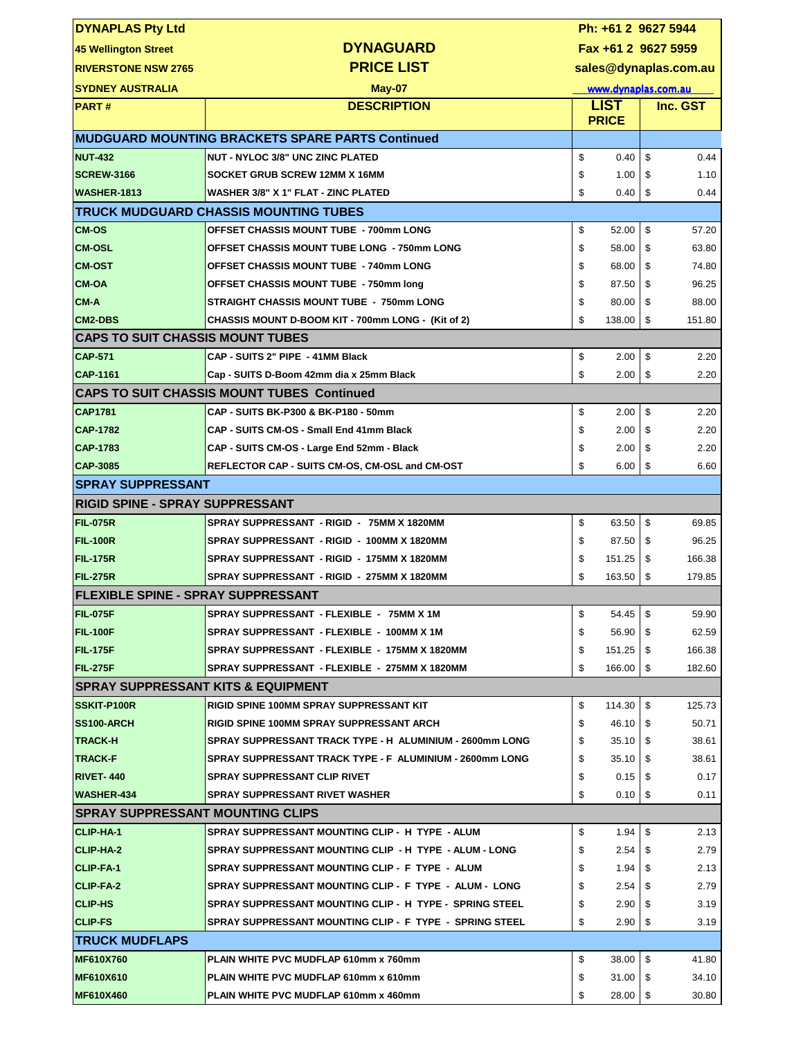| <b>DYNAPLAS Pty Ltd</b>                    |                                                                                                                      | Ph: +61 2 9627 5944   |                       |         |              |  |
|--------------------------------------------|----------------------------------------------------------------------------------------------------------------------|-----------------------|-----------------------|---------|--------------|--|
| 45 Wellington Street                       | <b>DYNAGUARD</b>                                                                                                     | Fax +61 2 9627 5959   |                       |         |              |  |
| <b>RIVERSTONE NSW 2765</b>                 | <b>PRICE LIST</b>                                                                                                    | sales@dynaplas.com.au |                       |         |              |  |
| <b>SYDNEY AUSTRALIA</b>                    | May-07                                                                                                               | www.dynaplas.com.au   |                       |         |              |  |
| <b>PART#</b>                               | <b>DESCRIPTION</b>                                                                                                   | <b>LIST</b>           |                       |         | Inc. GST     |  |
|                                            |                                                                                                                      |                       | <b>PRICE</b>          |         |              |  |
|                                            | <b>MUDGUARD MOUNTING BRACKETS SPARE PARTS Continued</b>                                                              |                       |                       |         |              |  |
| <b>NUT-432</b>                             | <b>NUT - NYLOC 3/8" UNC ZINC PLATED</b>                                                                              | \$                    | 0.40                  | \$      | 0.44         |  |
| <b>SCREW-3166</b>                          | SOCKET GRUB SCREW 12MM X 16MM                                                                                        | \$                    | 1.00                  | \$      | 1.10         |  |
| WASHER-1813                                | WASHER 3/8" X 1" FLAT - ZINC PLATED                                                                                  | \$                    | 0.40                  | \$      | 0.44         |  |
|                                            | <b>TRUCK MUDGUARD CHASSIS MOUNTING TUBES</b>                                                                         |                       |                       |         |              |  |
| <b>CM-OS</b>                               | <b>OFFSET CHASSIS MOUNT TUBE - 700mm LONG</b>                                                                        | \$                    | 52.00                 | \$      | 57.20        |  |
| <b>CM-OSL</b>                              | OFFSET CHASSIS MOUNT TUBE LONG - 750mm LONG                                                                          | \$                    | 58.00                 | \$      | 63.80        |  |
| <b>CM-OST</b>                              | <b>OFFSET CHASSIS MOUNT TUBE - 740mm LONG</b>                                                                        | \$                    | 68.00                 | \$      | 74.80        |  |
| <b>CM-OA</b>                               | <b>OFFSET CHASSIS MOUNT TUBE - 750mm long</b>                                                                        | \$                    | 87.50                 | \$      | 96.25        |  |
| <b>CM-A</b>                                | STRAIGHT CHASSIS MOUNT TUBE - 750mm LONG                                                                             | \$                    | 80.00                 | \$      | 88.00        |  |
| CM2-DBS                                    | CHASSIS MOUNT D-BOOM KIT - 700mm LONG - (Kit of 2)                                                                   | \$                    | 138.00                | \$      | 151.80       |  |
| <b>CAPS TO SUIT CHASSIS MOUNT TUBES</b>    |                                                                                                                      |                       |                       |         |              |  |
| <b>CAP-571</b>                             | CAP - SUITS 2" PIPE - 41MM Black                                                                                     | \$                    | 2.00                  | \$      | 2.20         |  |
| CAP-1161                                   | Cap - SUITS D-Boom 42mm dia x 25mm Black                                                                             | \$                    | 2.00                  | \$      | 2.20         |  |
|                                            | <b>CAPS TO SUIT CHASSIS MOUNT TUBES Continued</b>                                                                    |                       |                       |         |              |  |
| <b>CAP1781</b>                             | CAP - SUITS BK-P300 & BK-P180 - 50mm                                                                                 | \$                    | 2.00                  | \$      | 2.20         |  |
| <b>CAP-1782</b>                            | CAP - SUITS CM-OS - Small End 41mm Black                                                                             | \$                    | 2.00                  | \$      | 2.20         |  |
| CAP-1783                                   | CAP - SUITS CM-OS - Large End 52mm - Black                                                                           | \$                    | 2.00                  | \$      | 2.20         |  |
| <b>CAP-3085</b>                            | REFLECTOR CAP - SUITS CM-OS, CM-OSL and CM-OST                                                                       | \$                    | 6.00                  | \$      | 6.60         |  |
| <b>ISPRAY SUPPRESSANT</b>                  |                                                                                                                      |                       |                       |         |              |  |
| <b>RIGID SPINE - SPRAY SUPPRESSANT</b>     |                                                                                                                      |                       |                       |         |              |  |
| <b>FIL-075R</b>                            | SPRAY SUPPRESSANT - RIGID - 75MM X 1820MM                                                                            | \$                    | 63.50                 | \$      | 69.85        |  |
| <b>FIL-100R</b>                            | SPRAY SUPPRESSANT - RIGID - 100MM X 1820MM                                                                           | \$                    | 87.50                 | \$      | 96.25        |  |
| <b>FIL-175R</b>                            | SPRAY SUPPRESSANT - RIGID - 175MM X 1820MM                                                                           | \$                    | 151.25                | \$      | 166.38       |  |
| FIL-275R                                   | SPRAY SUPPRESSANT - RIGID - 275MM X 1820MM                                                                           | \$                    | 163.50                | \$      | 179.85       |  |
| <b>IFLEXIBLE SPINE - SPRAY SUPPRESSANT</b> |                                                                                                                      |                       |                       |         |              |  |
| FIL-075F                                   | SPRAY SUPPRESSANT - FLEXIBLE - 75MM X 1M                                                                             | \$                    | $54.45$ \\$           |         | 59.90        |  |
| <b>FIL-100F</b>                            | SPRAY SUPPRESSANT - FLEXIBLE - 100MM X 1M                                                                            | \$                    | 56.90                 | \$      | 62.59        |  |
| <b>FIL-175F</b>                            | SPRAY SUPPRESSANT - FLEXIBLE - 175MM X 1820MM                                                                        | \$                    | 151.25                | \$      | 166.38       |  |
| <b>FIL-275F</b>                            | SPRAY SUPPRESSANT - FLEXIBLE - 275MM X 1820MM                                                                        | \$                    | 166.00                | \$      | 182.60       |  |
| ISPRAY SUPPRESSANT KITS & EQUIPMENT        |                                                                                                                      |                       |                       |         |              |  |
| <b>SSKIT-P100R</b>                         | RIGID SPINE 100MM SPRAY SUPPRESSANT KIT                                                                              | \$                    | 114.30                | \$      | 125.73       |  |
| <b>SS100-ARCH</b>                          | RIGID SPINE 100MM SPRAY SUPPRESSANT ARCH                                                                             | \$                    | 46.10                 | \$      | 50.71        |  |
| <b>TRACK-H</b><br><b>TRACK-F</b>           | SPRAY SUPPRESSANT TRACK TYPE - H ALUMINIUM - 2600mm LONG<br>SPRAY SUPPRESSANT TRACK TYPE - F ALUMINIUM - 2600mm LONG | \$                    | $35.10$ $\uparrow$ \$ |         | 38.61        |  |
|                                            |                                                                                                                      | \$                    | 35.10                 | \$      | 38.61        |  |
| <b>RIVET-440</b><br><b>WASHER-434</b>      | <b>SPRAY SUPPRESSANT CLIP RIVET</b><br><b>SPRAY SUPPRESSANT RIVET WASHER</b>                                         | \$<br>\$              | 0.15<br>0.10          | S<br>\$ | 0.17<br>0.11 |  |
| <b>ISPRAY SUPPRESSANT MOUNTING CLIPS</b>   |                                                                                                                      |                       |                       |         |              |  |
| <b>CLIP-HA-1</b>                           | SPRAY SUPPRESSANT MOUNTING CLIP - H TYPE - ALUM                                                                      | \$                    | 1.94                  | \$      | 2.13         |  |
| CLIP-HA-2                                  | SPRAY SUPPRESSANT MOUNTING CLIP - H TYPE - ALUM - LONG                                                               | \$                    | 2.54                  | \$      | 2.79         |  |
| <b>CLIP-FA-1</b>                           | SPRAY SUPPRESSANT MOUNTING CLIP - F TYPE - ALUM                                                                      | \$                    | 1.94                  | \$      | 2.13         |  |
| CLIP-FA-2                                  | SPRAY SUPPRESSANT MOUNTING CLIP - F TYPE - ALUM - LONG                                                               | \$                    | 2.54                  | S       | 2.79         |  |
| <b>CLIP-HS</b>                             | SPRAY SUPPRESSANT MOUNTING CLIP - H TYPE - SPRING STEEL                                                              | \$                    | 2.90                  | S       | 3.19         |  |
| <b>CLIP-FS</b>                             | SPRAY SUPPRESSANT MOUNTING CLIP - F TYPE - SPRING STEEL                                                              | \$                    | 2.90                  | \$      | 3.19         |  |
| <b>ITRUCK MUDFLAPS</b>                     |                                                                                                                      |                       |                       |         |              |  |
| <b>MF610X760</b>                           | PLAIN WHITE PVC MUDFLAP 610mm x 760mm                                                                                | \$                    | 38.00                 | \$      | 41.80        |  |
| <b>MF610X610</b>                           | PLAIN WHITE PVC MUDFLAP 610mm x 610mm                                                                                | \$                    | 31.00                 | \$      | 34.10        |  |
| <b>MF610X460</b>                           | PLAIN WHITE PVC MUDFLAP 610mm x 460mm                                                                                | \$                    | 28.00                 | \$      | 30.80        |  |
|                                            |                                                                                                                      |                       |                       |         |              |  |